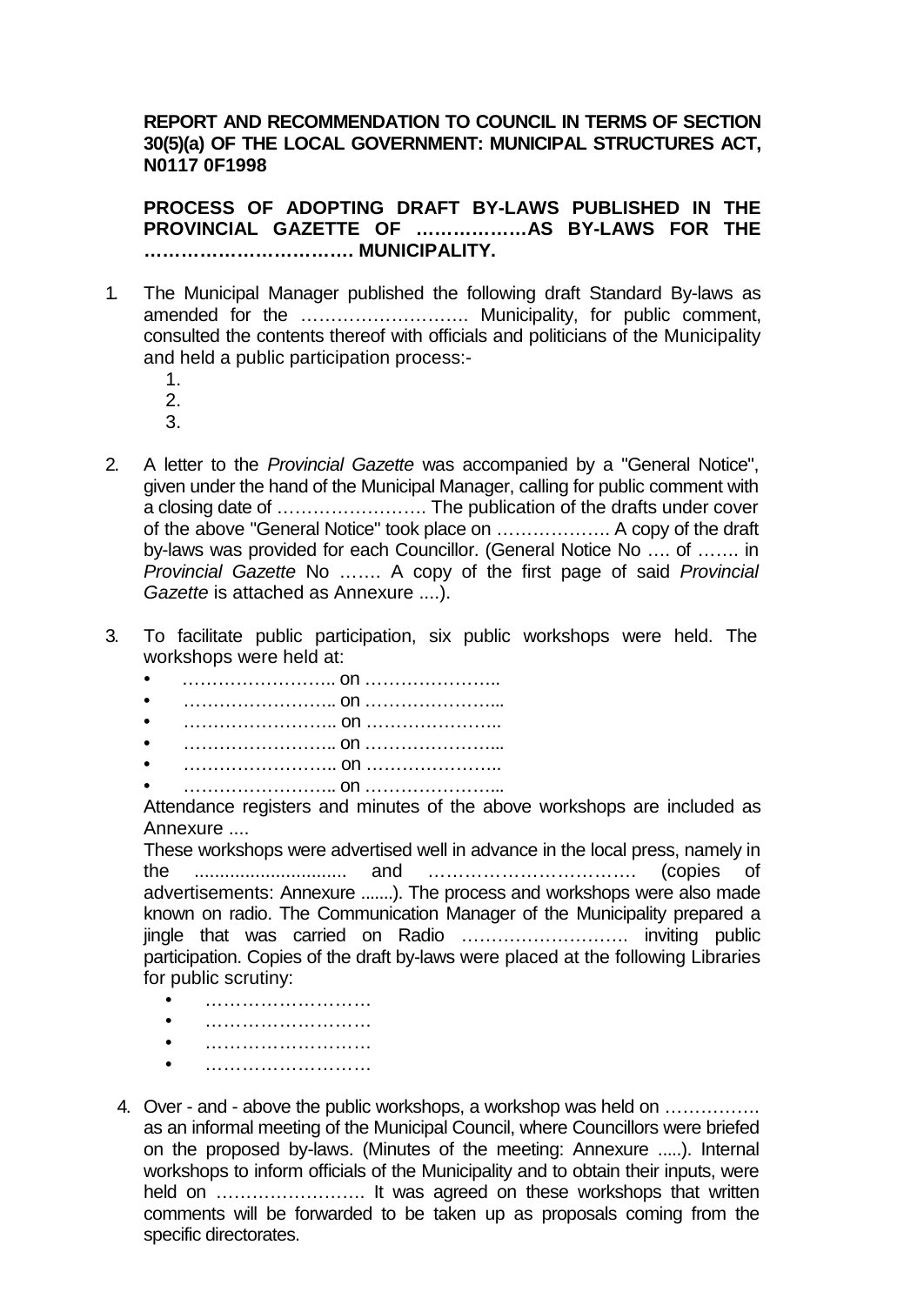## **REPORT AND RECOMMENDATION TO COUNCIL IN TERMS OF SECTION 30(5)(a) OF THE LOCAL GOVERNMENT: MUNICIPAL STRUCTURES ACT, N0117 0F1998**

**PROCESS OF ADOPTING DRAFT BY-LAWS PUBLISHED IN THE PROVINCIAL GAZETTE OF ………………AS BY-LAWS FOR THE ……………………………. MUNICIPALITY.**

- 1. The Municipal Manager published the following draft Standard By-laws as amended for the ………………………. Municipality, for public comment, consulted the contents thereof with officials and politicians of the Municipality and held a public participation process:-
	- 1.
	- 2.
	- 3.
- 2. A letter to the *Provincial Gazette* was accompanied by a "General Notice", given under the hand of the Municipal Manager, calling for public comment with a closing date of ……………………. The publication of the drafts under cover of the above "General Notice" took place on ………………. A copy of the draft by-laws was provided for each Councillor. (General Notice No …. of ……. in *Provincial Gazette* No ……. A copy of the first page of said *Provincial Gazette* is attached as Annexure ....).
- 3. To facilitate public participation, six public workshops were held. The workshops were held at:
	- …………………….. on …………………..
	- …………………….. on …………………...
	- …………………….. on …………………..
	- …………………….. on …………………...
	- …………………….. on …………………..
	- …………………….. on …………………...

Attendance registers and minutes of the above workshops are included as Annexure ....

These workshops were advertised well in advance in the local press, namely in the .............................. and ……………………………. (copies of advertisements: Annexure .......). The process and workshops were also made known on radio. The Communication Manager of the Municipality prepared a jingle that was carried on Radio ………………………. inviting public participation. Copies of the draft by-laws were placed at the following Libraries for public scrutiny:

- ………………………
- ………………………
- ………………………
- ………………………
- 4. Over and above the public workshops, a workshop was held on ……………. as an informal meeting of the Municipal Council, where Councillors were briefed on the proposed by-laws. (Minutes of the meeting: Annexure .....). Internal workshops to inform officials of the Municipality and to obtain their inputs, were held on ……………………. It was agreed on these workshops that written comments will be forwarded to be taken up as proposals coming from the specific directorates.